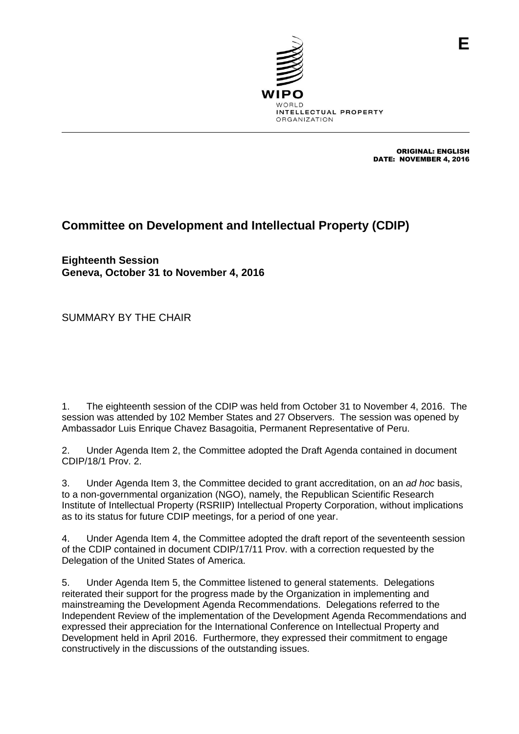

ORIGINAL: ENGLISH DATE: NOVEMBER 4, 2016

**E**

## **Committee on Development and Intellectual Property (CDIP)**

**Eighteenth Session Geneva, October 31 to November 4, 2016**

SUMMARY BY THE CHAIR

1. The eighteenth session of the CDIP was held from October 31 to November 4, 2016. The session was attended by 102 Member States and 27 Observers. The session was opened by Ambassador Luis Enrique Chavez Basagoitia, Permanent Representative of Peru.

2. Under Agenda Item 2, the Committee adopted the Draft Agenda contained in document CDIP/18/1 Prov. 2.

3. Under Agenda Item 3, the Committee decided to grant accreditation, on an *ad hoc* basis, to a non-governmental organization (NGO), namely, the Republican Scientific Research Institute of Intellectual Property (RSRIIP) Intellectual Property Corporation, without implications as to its status for future CDIP meetings, for a period of one year.

4. Under Agenda Item 4, the Committee adopted the draft report of the seventeenth session of the CDIP contained in document CDIP/17/11 Prov. with a correction requested by the Delegation of the United States of America.

5. Under Agenda Item 5, the Committee listened to general statements. Delegations reiterated their support for the progress made by the Organization in implementing and mainstreaming the Development Agenda Recommendations. Delegations referred to the Independent Review of the implementation of the Development Agenda Recommendations and expressed their appreciation for the International Conference on Intellectual Property and Development held in April 2016. Furthermore, they expressed their commitment to engage constructively in the discussions of the outstanding issues.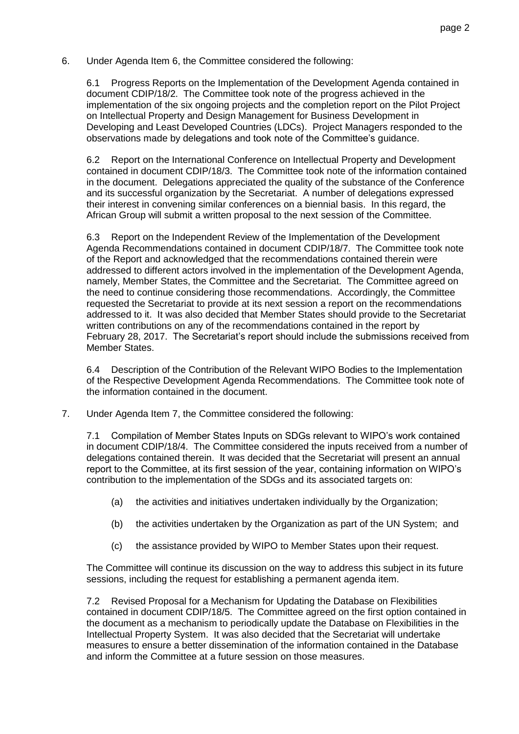6. Under Agenda Item 6, the Committee considered the following:

6.1 Progress Reports on the Implementation of the Development Agenda contained in document CDIP/18/2. The Committee took note of the progress achieved in the implementation of the six ongoing projects and the completion report on the Pilot Project on Intellectual Property and Design Management for Business Development in Developing and Least Developed Countries (LDCs). Project Managers responded to the observations made by delegations and took note of the Committee's guidance.

6.2 Report on the International Conference on Intellectual Property and Development contained in document CDIP/18/3. The Committee took note of the information contained in the document. Delegations appreciated the quality of the substance of the Conference and its successful organization by the Secretariat. A number of delegations expressed their interest in convening similar conferences on a biennial basis. In this regard, the African Group will submit a written proposal to the next session of the Committee.

6.3 Report on the Independent Review of the Implementation of the Development Agenda Recommendations contained in document CDIP/18/7. The Committee took note of the Report and acknowledged that the recommendations contained therein were addressed to different actors involved in the implementation of the Development Agenda, namely, Member States, the Committee and the Secretariat. The Committee agreed on the need to continue considering those recommendations. Accordingly, the Committee requested the Secretariat to provide at its next session a report on the recommendations addressed to it. It was also decided that Member States should provide to the Secretariat written contributions on any of the recommendations contained in the report by February 28, 2017. The Secretariat's report should include the submissions received from Member States.

6.4 Description of the Contribution of the Relevant WIPO Bodies to the Implementation of the Respective Development Agenda Recommendations. The Committee took note of the information contained in the document.

7. Under Agenda Item 7, the Committee considered the following:

7.1 Compilation of Member States Inputs on SDGs relevant to WIPO's work contained in document CDIP/18/4. The Committee considered the inputs received from a number of delegations contained therein. It was decided that the Secretariat will present an annual report to the Committee, at its first session of the year, containing information on WIPO's contribution to the implementation of the SDGs and its associated targets on:

- (a) the activities and initiatives undertaken individually by the Organization;
- (b) the activities undertaken by the Organization as part of the UN System; and
- (c) the assistance provided by WIPO to Member States upon their request.

The Committee will continue its discussion on the way to address this subject in its future sessions, including the request for establishing a permanent agenda item.

7.2 Revised Proposal for a Mechanism for Updating the Database on Flexibilities contained in document CDIP/18/5. The Committee agreed on the first option contained in the document as a mechanism to periodically update the Database on Flexibilities in the Intellectual Property System. It was also decided that the Secretariat will undertake measures to ensure a better dissemination of the information contained in the Database and inform the Committee at a future session on those measures.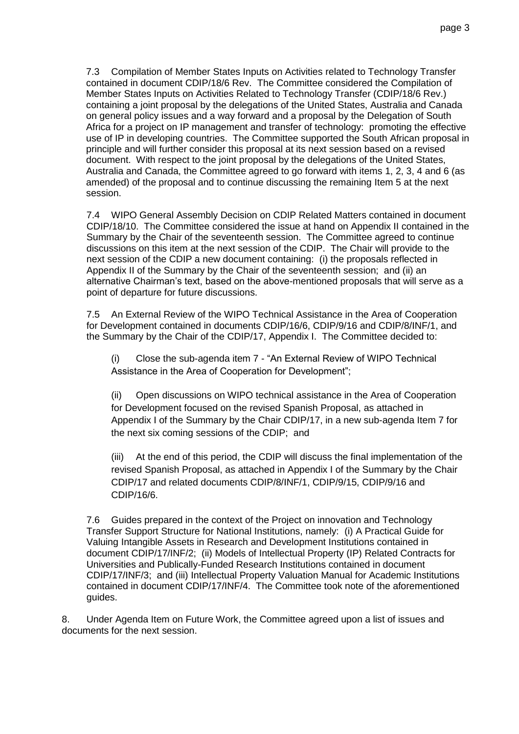7.3 Compilation of Member States Inputs on Activities related to Technology Transfer contained in document CDIP/18/6 Rev. The Committee considered the Compilation of Member States Inputs on Activities Related to Technology Transfer (CDIP/18/6 Rev.) containing a joint proposal by the delegations of the United States, Australia and Canada on general policy issues and a way forward and a proposal by the Delegation of South Africa for a project on IP management and transfer of technology: promoting the effective use of IP in developing countries. The Committee supported the South African proposal in principle and will further consider this proposal at its next session based on a revised document. With respect to the joint proposal by the delegations of the United States, Australia and Canada, the Committee agreed to go forward with items 1, 2, 3, 4 and 6 (as amended) of the proposal and to continue discussing the remaining Item 5 at the next session.

7.4 WIPO General Assembly Decision on CDIP Related Matters contained in document CDIP/18/10. The Committee considered the issue at hand on Appendix II contained in the Summary by the Chair of the seventeenth session. The Committee agreed to continue discussions on this item at the next session of the CDIP. The Chair will provide to the next session of the CDIP a new document containing: (i) the proposals reflected in Appendix II of the Summary by the Chair of the seventeenth session; and (ii) an alternative Chairman's text, based on the above-mentioned proposals that will serve as a point of departure for future discussions.

7.5 An External Review of the WIPO Technical Assistance in the Area of Cooperation for Development contained in documents CDIP/16/6, CDIP/9/16 and CDIP/8/INF/1, and the Summary by the Chair of the CDIP/17, Appendix I. The Committee decided to:

(i) Close the sub-agenda item 7 - "An External Review of WIPO Technical Assistance in the Area of Cooperation for Development";

(ii) Open discussions on WIPO technical assistance in the Area of Cooperation for Development focused on the revised Spanish Proposal, as attached in Appendix I of the Summary by the Chair CDIP/17, in a new sub-agenda Item 7 for the next six coming sessions of the CDIP; and

(iii) At the end of this period, the CDIP will discuss the final implementation of the revised Spanish Proposal, as attached in Appendix I of the Summary by the Chair CDIP/17 and related documents CDIP/8/INF/1, CDIP/9/15, CDIP/9/16 and CDIP/16/6.

7.6 Guides prepared in the context of the Project on innovation and Technology Transfer Support Structure for National Institutions, namely: (i) A Practical Guide for Valuing Intangible Assets in Research and Development Institutions contained in document CDIP/17/INF/2; (ii) Models of Intellectual Property (IP) Related Contracts for Universities and Publically-Funded Research Institutions contained in document CDIP/17/INF/3; and (iii) Intellectual Property Valuation Manual for Academic Institutions contained in document CDIP/17/INF/4. The Committee took note of the aforementioned guides.

8. Under Agenda Item on Future Work, the Committee agreed upon a list of issues and documents for the next session.